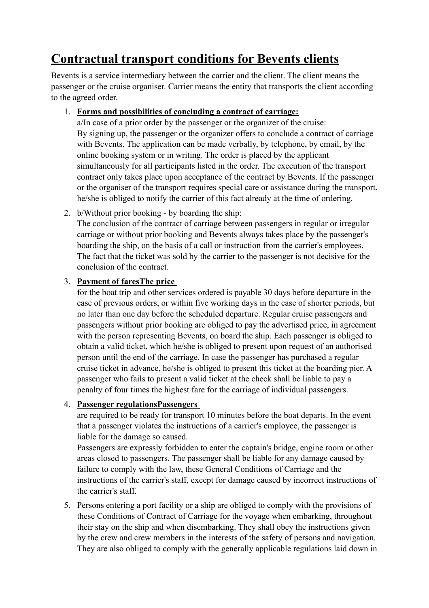# **Contractual transport conditions for Bevents clients**

Bevents is a service intermediary between the carrier and the client. The client means the passenger or the cruise organiser. Carrier means the entity that transports the client according to the agreed order.

# 1. **Forms and possibilities of concluding a contract of carriage:**

a/In case of a prior order by the passenger or the organizer of the cruise: By signing up, the passenger or the organizer offers to conclude a contract of carriage with Bevents. The application can be made verbally, by telephone, by email, by the online booking system or in writing. The order is placed by the applicant simultaneously for all participants listed in the order. The execution of the transport contract only takes place upon acceptance of the contract by Bevents. If the passenger or the organiser of the transport requires special care or assistance during the transport, he/she is obliged to notify the carrier of this fact already at the time of ordering.

2. b/Without prior booking - by boarding the ship: The conclusion of the contract of carriage between passengers in regular or irregular carriage or without prior booking and Bevents always takes place by the passenger's boarding the ship, on the basis of a call or instruction from the carrier's employees. The fact that the ticket was sold by the carrier to the passenger is not decisive for the conclusion of the contract.

# 3. **Payment of faresThe price**

for the boat trip and other services ordered is payable 30 days before departure in the case of previous orders, or within five working days in the case of shorter periods, but no later than one day before the scheduled departure. Regular cruise passengers and passengers without prior booking are obliged to pay the advertised price, in agreement with the person representing Bevents, on board the ship. Each passenger is obliged to obtain a valid ticket, which he/she is obliged to present upon request of an authorised person until the end of the carriage. In case the passenger has purchased a regular cruise ticket in advance, he/she is obliged to present this ticket at the boarding pier. A passenger who fails to present a valid ticket at the check shall be liable to pay a penalty of four times the highest fare for the carriage of individual passengers.

# 4. **Passenger regulationsPassengers**

are required to be ready for transport 10 minutes before the boat departs. In the event that a passenger violates the instructions of a carrier's employee, the passenger is liable for the damage so caused.

Passengers are expressly forbidden to enter the captain's bridge, engine room or other areas closed to passengers. The passenger shall be liable for any damage caused by failure to comply with the law, these General Conditions of Carriage and the instructions of the carrier's staff, except for damage caused by incorrect instructions of the carrier's staff.

5. Persons entering a port facility or a ship are obliged to comply with the provisions of these Conditions of Contract of Carriage for the voyage when embarking, throughout their stay on the ship and when disembarking. They shall obey the instructions given by the crew and crew members in the interests of the safety of persons and navigation. They are also obliged to comply with the generally applicable regulations laid down in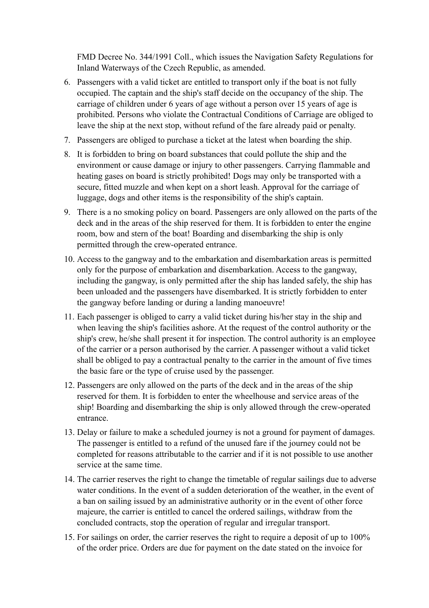FMD Decree No. 344/1991 Coll., which issues the Navigation Safety Regulations for Inland Waterways of the Czech Republic, as amended.

- 6. Passengers with a valid ticket are entitled to transport only if the boat is not fully occupied. The captain and the ship's staff decide on the occupancy of the ship. The carriage of children under 6 years of age without a person over 15 years of age is prohibited. Persons who violate the Contractual Conditions of Carriage are obliged to leave the ship at the next stop, without refund of the fare already paid or penalty.
- 7. Passengers are obliged to purchase a ticket at the latest when boarding the ship.
- 8. It is forbidden to bring on board substances that could pollute the ship and the environment or cause damage or injury to other passengers. Carrying flammable and heating gases on board is strictly prohibited! Dogs may only be transported with a secure, fitted muzzle and when kept on a short leash. Approval for the carriage of luggage, dogs and other items is the responsibility of the ship's captain.
- 9. There is a no smoking policy on board. Passengers are only allowed on the parts of the deck and in the areas of the ship reserved for them. It is forbidden to enter the engine room, bow and stern of the boat! Boarding and disembarking the ship is only permitted through the crew-operated entrance.
- 10. Access to the gangway and to the embarkation and disembarkation areas is permitted only for the purpose of embarkation and disembarkation. Access to the gangway, including the gangway, is only permitted after the ship has landed safely, the ship has been unloaded and the passengers have disembarked. It is strictly forbidden to enter the gangway before landing or during a landing manoeuvre!
- 11. Each passenger is obliged to carry a valid ticket during his/her stay in the ship and when leaving the ship's facilities ashore. At the request of the control authority or the ship's crew, he/she shall present it for inspection. The control authority is an employee of the carrier or a person authorised by the carrier. A passenger without a valid ticket shall be obliged to pay a contractual penalty to the carrier in the amount of five times the basic fare or the type of cruise used by the passenger.
- 12. Passengers are only allowed on the parts of the deck and in the areas of the ship reserved for them. It is forbidden to enter the wheelhouse and service areas of the ship! Boarding and disembarking the ship is only allowed through the crew-operated entrance.
- 13. Delay or failure to make a scheduled journey is not a ground for payment of damages. The passenger is entitled to a refund of the unused fare if the journey could not be completed for reasons attributable to the carrier and if it is not possible to use another service at the same time.
- 14. The carrier reserves the right to change the timetable of regular sailings due to adverse water conditions. In the event of a sudden deterioration of the weather, in the event of a ban on sailing issued by an administrative authority or in the event of other force majeure, the carrier is entitled to cancel the ordered sailings, withdraw from the concluded contracts, stop the operation of regular and irregular transport.
- 15. For sailings on order, the carrier reserves the right to require a deposit of up to 100% of the order price. Orders are due for payment on the date stated on the invoice for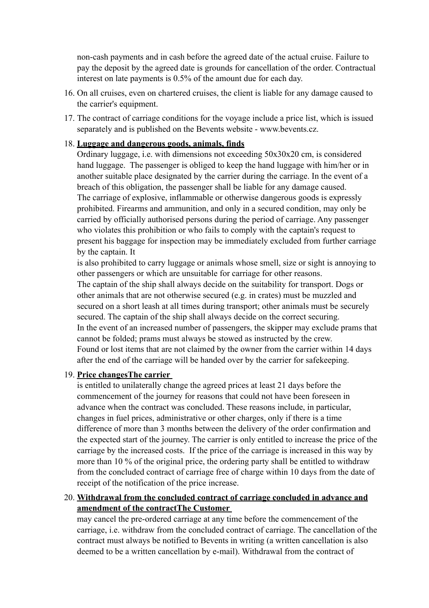non-cash payments and in cash before the agreed date of the actual cruise. Failure to pay the deposit by the agreed date is grounds for cancellation of the order. Contractual interest on late payments is 0.5% of the amount due for each day.

- 16. On all cruises, even on chartered cruises, the client is liable for any damage caused to the carrier's equipment.
- 17. The contract of carriage conditions for the voyage include a price list, which is issued separately and is published on the Bevents website - www.bevents.cz.

## 18. **Luggage and dangerous goods, animals, finds**

Ordinary luggage, i.e. with dimensions not exceeding 50x30x20 cm, is considered hand luggage. The passenger is obliged to keep the hand luggage with him/her or in another suitable place designated by the carrier during the carriage. In the event of a breach of this obligation, the passenger shall be liable for any damage caused. The carriage of explosive, inflammable or otherwise dangerous goods is expressly prohibited. Firearms and ammunition, and only in a secured condition, may only be carried by officially authorised persons during the period of carriage. Any passenger who violates this prohibition or who fails to comply with the captain's request to present his baggage for inspection may be immediately excluded from further carriage by the captain. It

is also prohibited to carry luggage or animals whose smell, size or sight is annoying to other passengers or which are unsuitable for carriage for other reasons.

The captain of the ship shall always decide on the suitability for transport. Dogs or other animals that are not otherwise secured (e.g. in crates) must be muzzled and secured on a short leash at all times during transport; other animals must be securely secured. The captain of the ship shall always decide on the correct securing. In the event of an increased number of passengers, the skipper may exclude prams that cannot be folded; prams must always be stowed as instructed by the crew. Found or lost items that are not claimed by the owner from the carrier within 14 days after the end of the carriage will be handed over by the carrier for safekeeping.

#### 19. **Price changesThe carrier**

is entitled to unilaterally change the agreed prices at least 21 days before the commencement of the journey for reasons that could not have been foreseen in advance when the contract was concluded. These reasons include, in particular, changes in fuel prices, administrative or other charges, only if there is a time difference of more than 3 months between the delivery of the order confirmation and the expected start of the journey. The carrier is only entitled to increase the price of the carriage by the increased costs. If the price of the carriage is increased in this way by more than 10 % of the original price, the ordering party shall be entitled to withdraw from the concluded contract of carriage free of charge within 10 days from the date of receipt of the notification of the price increase.

## 20. **Withdrawal from the concluded contract of carriage concluded in advance and amendment of the contractThe Customer**

may cancel the pre-ordered carriage at any time before the commencement of the carriage, i.e. withdraw from the concluded contract of carriage. The cancellation of the contract must always be notified to Bevents in writing (a written cancellation is also deemed to be a written cancellation by e-mail). Withdrawal from the contract of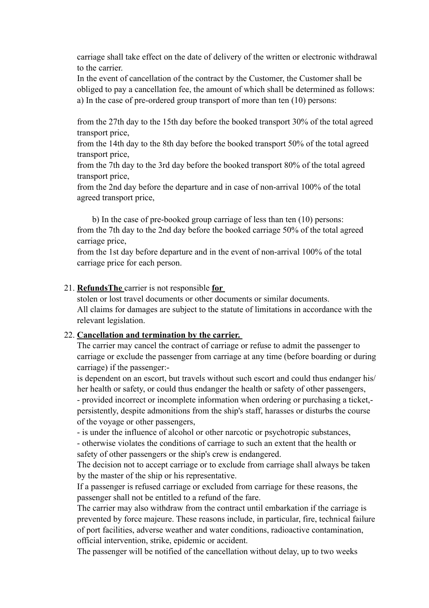carriage shall take effect on the date of delivery of the written or electronic withdrawal to the carrier.

In the event of cancellation of the contract by the Customer, the Customer shall be obliged to pay a cancellation fee, the amount of which shall be determined as follows: a) In the case of pre-ordered group transport of more than ten (10) persons:

from the 27th day to the 15th day before the booked transport 30% of the total agreed transport price,

from the 14th day to the 8th day before the booked transport 50% of the total agreed transport price,

from the 7th day to the 3rd day before the booked transport 80% of the total agreed transport price,

from the 2nd day before the departure and in case of non-arrival 100% of the total agreed transport price,

 b) In the case of pre-booked group carriage of less than ten (10) persons: from the 7th day to the 2nd day before the booked carriage 50% of the total agreed carriage price,

from the 1st day before departure and in the event of non-arrival 100% of the total carriage price for each person.

## 21. **RefundsThe** carrier is not responsible **for**

stolen or lost travel documents or other documents or similar documents. All claims for damages are subject to the statute of limitations in accordance with the relevant legislation.

#### 22. **Cancellation and termination by the carrier.**

The carrier may cancel the contract of carriage or refuse to admit the passenger to carriage or exclude the passenger from carriage at any time (before boarding or during carriage) if the passenger:-

is dependent on an escort, but travels without such escort and could thus endanger his/ her health or safety, or could thus endanger the health or safety of other passengers, - provided incorrect or incomplete information when ordering or purchasing a ticket, persistently, despite admonitions from the ship's staff, harasses or disturbs the course of the voyage or other passengers,

- is under the influence of alcohol or other narcotic or psychotropic substances, - otherwise violates the conditions of carriage to such an extent that the health or safety of other passengers or the ship's crew is endangered.

The decision not to accept carriage or to exclude from carriage shall always be taken by the master of the ship or his representative.

If a passenger is refused carriage or excluded from carriage for these reasons, the passenger shall not be entitled to a refund of the fare.

The carrier may also withdraw from the contract until embarkation if the carriage is prevented by force majeure. These reasons include, in particular, fire, technical failure of port facilities, adverse weather and water conditions, radioactive contamination, official intervention, strike, epidemic or accident.

The passenger will be notified of the cancellation without delay, up to two weeks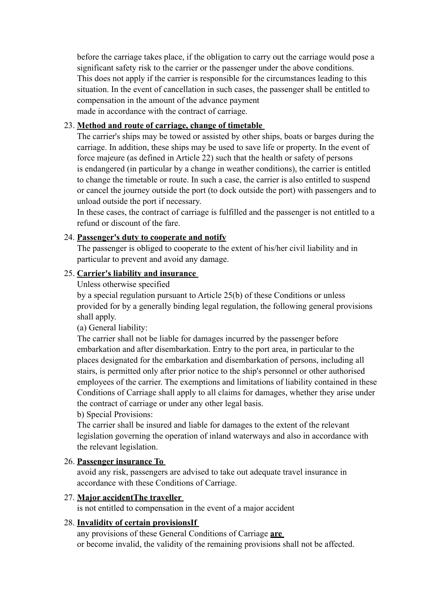before the carriage takes place, if the obligation to carry out the carriage would pose a significant safety risk to the carrier or the passenger under the above conditions. This does not apply if the carrier is responsible for the circumstances leading to this situation. In the event of cancellation in such cases, the passenger shall be entitled to compensation in the amount of the advance payment made in accordance with the contract of carriage.

## 23. **Method and route of carriage, change of timetable**

The carrier's ships may be towed or assisted by other ships, boats or barges during the carriage. In addition, these ships may be used to save life or property. In the event of force majeure (as defined in Article 22) such that the health or safety of persons is endangered (in particular by a change in weather conditions), the carrier is entitled to change the timetable or route. In such a case, the carrier is also entitled to suspend or cancel the journey outside the port (to dock outside the port) with passengers and to unload outside the port if necessary.

In these cases, the contract of carriage is fulfilled and the passenger is not entitled to a refund or discount of the fare.

## 24. **Passenger's duty to cooperate and notify**

The passenger is obliged to cooperate to the extent of his/her civil liability and in particular to prevent and avoid any damage.

## 25. **Carrier's liability and insurance**

Unless otherwise specified

by a special regulation pursuant to Article 25(b) of these Conditions or unless provided for by a generally binding legal regulation, the following general provisions shall apply.

(a) General liability:

The carrier shall not be liable for damages incurred by the passenger before embarkation and after disembarkation. Entry to the port area, in particular to the places designated for the embarkation and disembarkation of persons, including all stairs, is permitted only after prior notice to the ship's personnel or other authorised employees of the carrier. The exemptions and limitations of liability contained in these Conditions of Carriage shall apply to all claims for damages, whether they arise under the contract of carriage or under any other legal basis.

b) Special Provisions:

The carrier shall be insured and liable for damages to the extent of the relevant legislation governing the operation of inland waterways and also in accordance with the relevant legislation.

#### 26. **Passenger insurance To**

avoid any risk, passengers are advised to take out adequate travel insurance in accordance with these Conditions of Carriage.

#### 27. **Major accidentThe traveller**

is not entitled to compensation in the event of a major accident

#### 28. **Invalidity of certain provisionsIf**

any provisions of these General Conditions of Carriage **are**  or become invalid, the validity of the remaining provisions shall not be affected.